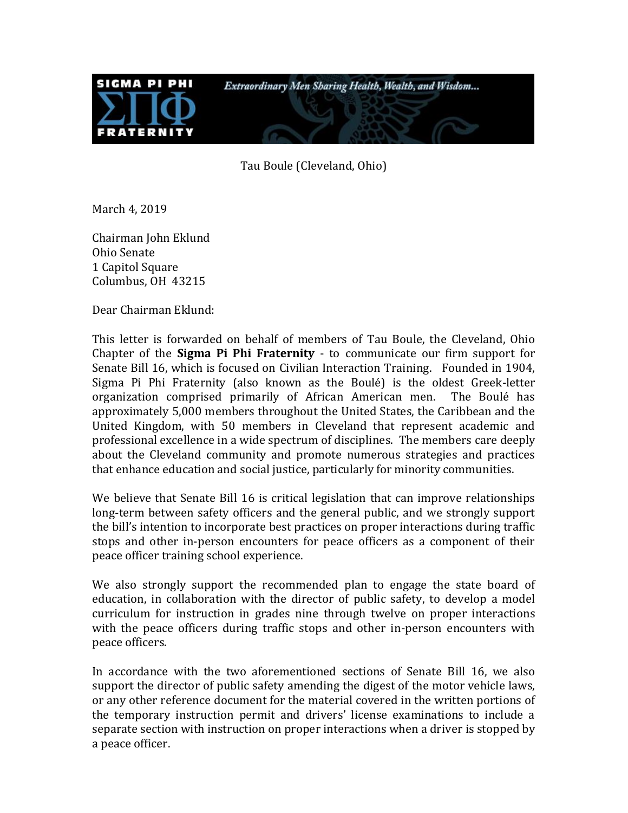

Tau Boule (Cleveland, Ohio)

March 4, 2019

Chairman John Eklund Ohio Senate 1 Capitol Square Columbus, OH 43215

Dear Chairman Eklund:

This letter is forwarded on behalf of members of Tau Boule, the Cleveland, Ohio Chapter of the **Sigma Pi Phi Fraternity** - to communicate our firm support for Senate Bill 16, which is focused on Civilian Interaction Training. Founded in 1904, Sigma Pi Phi Fraternity (also known as the Boulé) is the oldest Greek-letter organization comprised primarily of African American men. The Boulé has approximately 5,000 members throughout the United States, the Caribbean and the United Kingdom, with 50 members in Cleveland that represent academic and professional excellence in a wide spectrum of disciplines. The members care deeply about the Cleveland community and promote numerous strategies and practices that enhance education and social justice, particularly for minority communities.

We believe that Senate Bill 16 is critical legislation that can improve relationships long-term between safety officers and the general public, and we strongly support the bill's intention to incorporate best practices on proper interactions during traffic stops and other in-person encounters for peace officers as a component of their peace officer training school experience.

We also strongly support the recommended plan to engage the state board of education, in collaboration with the director of public safety, to develop a model curriculum for instruction in grades nine through twelve on proper interactions with the peace officers during traffic stops and other in-person encounters with peace officers.

In accordance with the two aforementioned sections of Senate Bill 16, we also support the director of public safety amending the digest of the motor vehicle laws, or any other reference document for the material covered in the written portions of the temporary instruction permit and drivers' license examinations to include a separate section with instruction on proper interactions when a driver is stopped by a peace officer.